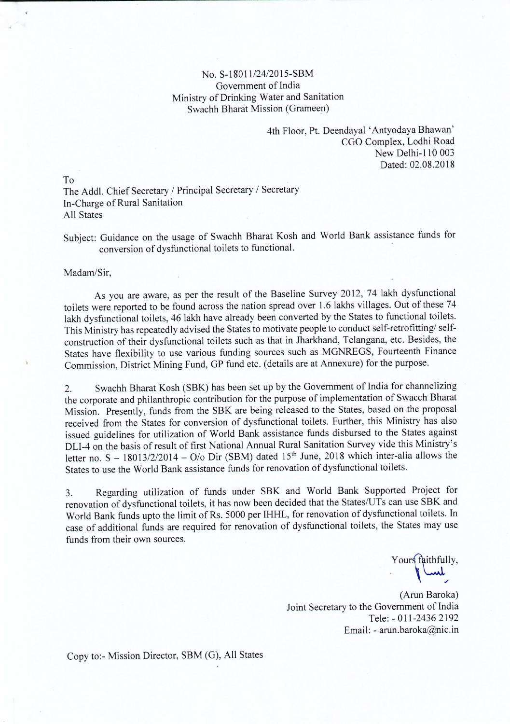## No. S-18011/24/2015-SBM Government of India Ministry of Drinking Water and Sanitation Swachh Bharat Mission (Grameen)

4th Floor, Pt. Deendayal 'Antyodaya Bhawan' CGO Complex, Lodhi Road New Delhi-lID 003 Dated: 02.08.2018

To The Addl. Chief Secretary *I* Principal Secretary *I* Secretary In-Charge of Rural Sanitation All States

Subject: Guidance on the usage of Swachh Bharat Kosh and World Bank assistance funds for conversion of dysfunctional toilets to functional. -

Madam/Sir,

As you are aware, as per the result of the Baseline Survey 2012, 74 lakh dysfunctional toilets were reported to be found across the nation spread over 1.6 lakhs villages. Out of these 74 lakh dysfunctional toilets, 46 lakh have already been converted by the States to functional toilets. This Ministry has repeatedly advised the States to motivate people to conduct self-retrofitting/selfconstruction of their dysfunctional toilets such as that in Jharkhand, Telangana, etc. Besides, the States have flexibility to use various funding sources such as MGNREGS, Fourteenth Finance Commission, District Mining Fund, GP fund etc. (details are at Annexure) for the purpose.

2. Swachh Bharat Kosh (SBK) has been set up by the Government of India for channelizing the corporate and philanthropic contribution for the purpose of implementation of Swacch Bharat Mission. Presently, funds from the SBK are being released to the States, based on the proposal received from the States for conversion of dysfunctional toilets. Further, this Ministry has also issued guidelines for utilization of World Bank assistance funds disbursed to the States against DU-4 on the basis of result of first National Annual Rural Sanitation Survey vide this Ministry's letter no. S – 18013/2/2014 – O/o Dir (SBM) dated 15<sup>th</sup> June, 2018 which inter-alia allows the States to use the World Bank assistance funds for renovation of dysfunctional toilets.

3. Regarding utilization of funds under SBK and World Bank Supported Project for renovation of dysfunctional toilets, it has now been decided that the States/UTs can use SBK and World Bank funds upto the limit of Rs. 5000 per IHHL, for renovation of dysfunctional toilets. In case of additional funds are required for renovation of dysfunctional toilets, the States may use funds from their own sources.

Yours faithfully,

(Arun Baroka) Joint Secretary to the Government of India Tele: - 011-2436 2192 Email: - arun.baroka@nic.in

Copy to:- Mission Director, SBM (G), All States